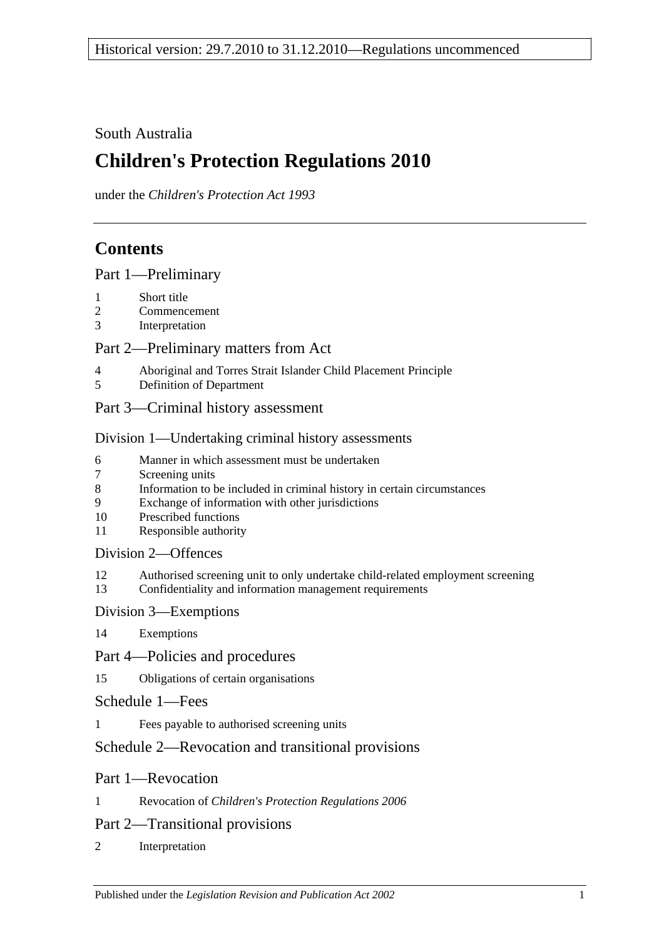# South Australia

# **Children's Protection Regulations 2010**

under the *Children's Protection Act 1993*

# **Contents**

[Part 1—Preliminary](#page-1-0)

- 1 [Short title](#page-1-1)
- 2 [Commencement](#page-1-2)
- 3 [Interpretation](#page-1-3)

## [Part 2—Preliminary matters from Act](#page-1-4)

- 4 [Aboriginal and Torres Strait Islander Child Placement Principle](#page-1-5)<br>5 Definition of Department
- 5 [Definition of Department](#page-2-0)
- [Part 3—Criminal history assessment](#page-2-1)

## [Division 1—Undertaking criminal history assessments](#page-2-2)

- 6 [Manner in which assessment must be undertaken](#page-2-3)
- 7 [Screening units](#page-3-0)
- 8 [Information to be included in criminal history in certain circumstances](#page-3-1)
- 9 [Exchange of information with other jurisdictions](#page-3-2)
- 10 [Prescribed functions](#page-3-3)
- 11 [Responsible authority](#page-4-0)

## [Division 2—Offences](#page-4-1)

- 12 [Authorised screening unit to only undertake child-related employment screening](#page-4-2)
- 13 [Confidentiality and information management requirements](#page-4-3)

## [Division 3—Exemptions](#page-5-0)

14 [Exemptions](#page-5-1)

# [Part 4—Policies and procedures](#page-6-0)

15 [Obligations of certain organisations](#page-6-1)

# [Schedule 1—Fees](#page-6-2)

1 [Fees payable to authorised screening units](#page-6-3)

# [Schedule 2—Revocation and transitional provisions](#page-7-0)

# Part 1—Revocation

1 Revocation of *[Children's Protection Regulations](#page-7-1) 2006*

# Part 2—Transitional provisions

2 [Interpretation](#page-7-2)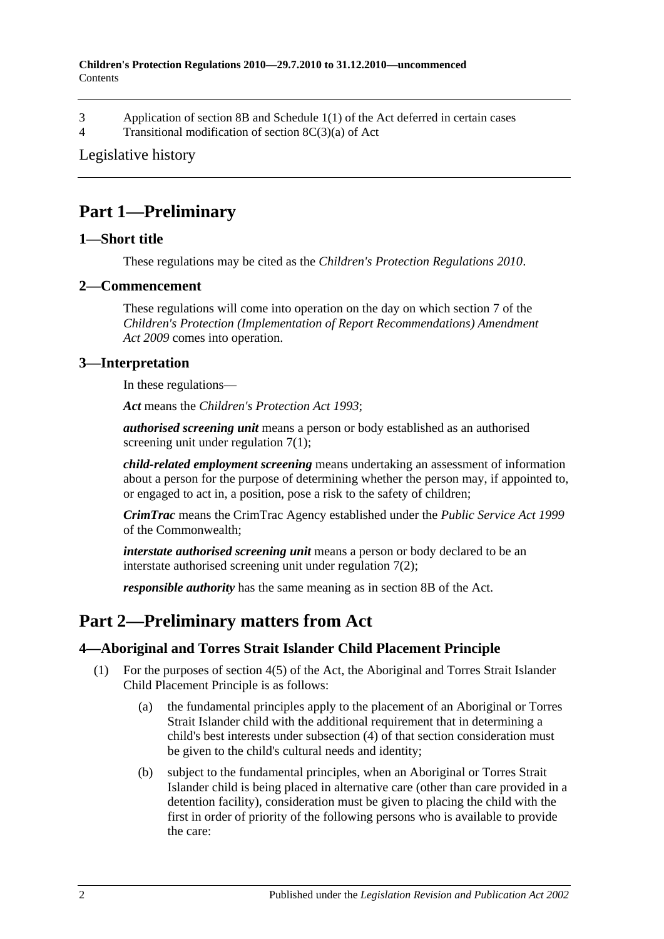- 3 Application of section 8B and Schedule [1\(1\) of the Act deferred in certain cases](#page-7-3)
- 4 [Transitional modification of section](#page-9-0) 8C(3)(a) of Act

#### [Legislative history](#page-10-0)

# <span id="page-1-0"></span>**Part 1—Preliminary**

## <span id="page-1-1"></span>**1—Short title**

These regulations may be cited as the *Children's Protection Regulations 2010*.

#### <span id="page-1-2"></span>**2—Commencement**

These regulations will come into operation on the day on which section 7 of the *[Children's Protection \(Implementation of Report Recommendations\) Amendment](http://www.legislation.sa.gov.au/index.aspx?action=legref&type=act&legtitle=Childrens%20Protection%20(Implementation%20of%20Report%20Recommendations)%20Amendment%20Act%202009)  Act [2009](http://www.legislation.sa.gov.au/index.aspx?action=legref&type=act&legtitle=Childrens%20Protection%20(Implementation%20of%20Report%20Recommendations)%20Amendment%20Act%202009)* comes into operation.

#### <span id="page-1-3"></span>**3—Interpretation**

In these regulations—

*Act* means the *[Children's Protection Act](http://www.legislation.sa.gov.au/index.aspx?action=legref&type=act&legtitle=Childrens%20Protection%20Act%201993) 1993*;

*authorised screening unit* means a person or body established as an authorised screening unit under [regulation](#page-3-4) 7(1);

*child-related employment screening* means undertaking an assessment of information about a person for the purpose of determining whether the person may, if appointed to, or engaged to act in, a position, pose a risk to the safety of children;

*CrimTrac* means the CrimTrac Agency established under the *Public Service Act 1999* of the Commonwealth;

*interstate authorised screening unit* means a person or body declared to be an interstate authorised screening unit under [regulation](#page-3-5) 7(2);

*responsible authority* has the same meaning as in section 8B of the Act.

# <span id="page-1-4"></span>**Part 2—Preliminary matters from Act**

#### <span id="page-1-5"></span>**4—Aboriginal and Torres Strait Islander Child Placement Principle**

- <span id="page-1-6"></span>(1) For the purposes of section 4(5) of the Act, the Aboriginal and Torres Strait Islander Child Placement Principle is as follows:
	- (a) the fundamental principles apply to the placement of an Aboriginal or Torres Strait Islander child with the additional requirement that in determining a child's best interests under subsection (4) of that section consideration must be given to the child's cultural needs and identity;
	- (b) subject to the fundamental principles, when an Aboriginal or Torres Strait Islander child is being placed in alternative care (other than care provided in a detention facility), consideration must be given to placing the child with the first in order of priority of the following persons who is available to provide the care: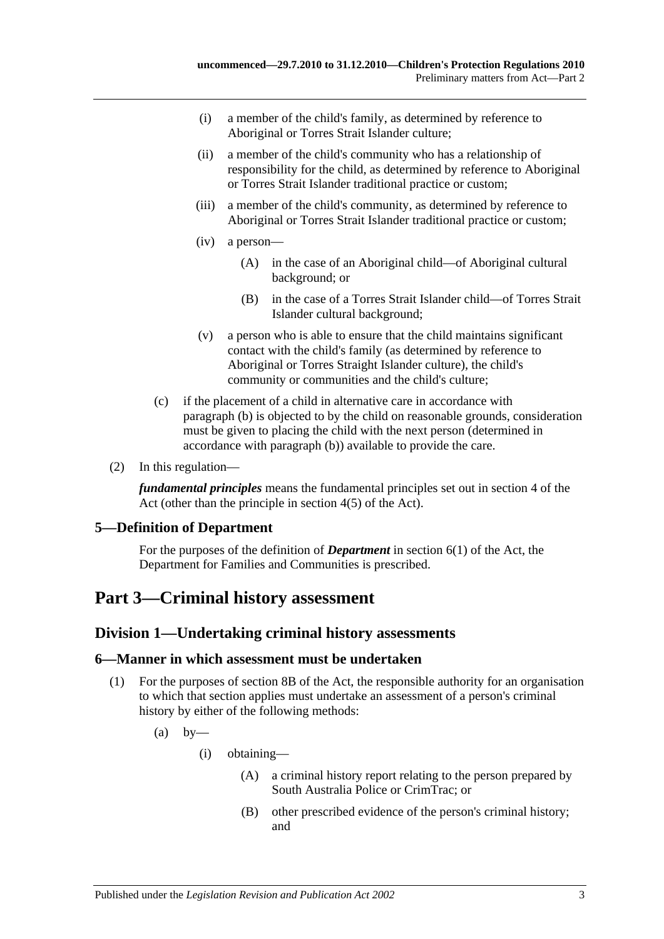- (i) a member of the child's family, as determined by reference to Aboriginal or Torres Strait Islander culture;
- (ii) a member of the child's community who has a relationship of responsibility for the child, as determined by reference to Aboriginal or Torres Strait Islander traditional practice or custom;
- (iii) a member of the child's community, as determined by reference to Aboriginal or Torres Strait Islander traditional practice or custom;
- (iv) a person—
	- (A) in the case of an Aboriginal child—of Aboriginal cultural background; or
	- (B) in the case of a Torres Strait Islander child—of Torres Strait Islander cultural background;
- (v) a person who is able to ensure that the child maintains significant contact with the child's family (as determined by reference to Aboriginal or Torres Straight Islander culture), the child's community or communities and the child's culture;
- (c) if the placement of a child in alternative care in accordance with [paragraph](#page-1-6) (b) is objected to by the child on reasonable grounds, consideration must be given to placing the child with the next person (determined in accordance with [paragraph](#page-1-6) (b)) available to provide the care.
- (2) In this regulation—

*fundamental principles* means the fundamental principles set out in section 4 of the Act (other than the principle in section 4(5) of the Act).

#### <span id="page-2-0"></span>**5—Definition of Department**

For the purposes of the definition of *Department* in section 6(1) of the Act, the Department for Families and Communities is prescribed.

# <span id="page-2-2"></span><span id="page-2-1"></span>**Part 3—Criminal history assessment**

#### **Division 1—Undertaking criminal history assessments**

#### <span id="page-2-3"></span>**6—Manner in which assessment must be undertaken**

- <span id="page-2-4"></span>(1) For the purposes of section 8B of the Act, the responsible authority for an organisation to which that section applies must undertake an assessment of a person's criminal history by either of the following methods:
	- $(a)$  by—
		- (i) obtaining—
			- (A) a criminal history report relating to the person prepared by South Australia Police or CrimTrac; or
			- (B) other prescribed evidence of the person's criminal history; and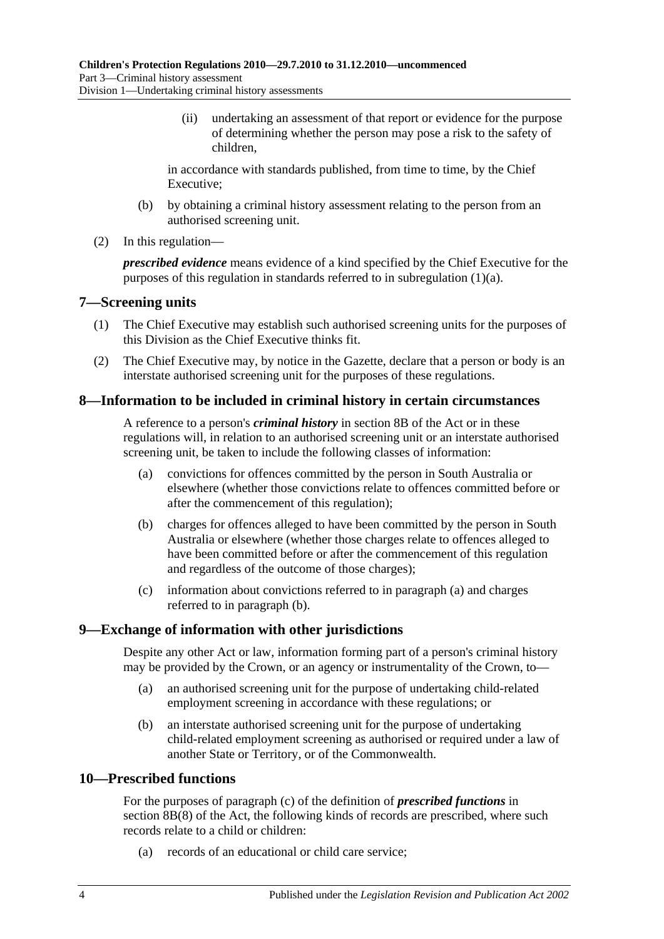(ii) undertaking an assessment of that report or evidence for the purpose of determining whether the person may pose a risk to the safety of children,

in accordance with standards published, from time to time, by the Chief Executive;

- (b) by obtaining a criminal history assessment relating to the person from an authorised screening unit.
- (2) In this regulation—

*prescribed evidence* means evidence of a kind specified by the Chief Executive for the purposes of this regulation in standards referred to in [subregulation](#page-2-4) (1)(a).

#### <span id="page-3-4"></span><span id="page-3-0"></span>**7—Screening units**

- (1) The Chief Executive may establish such authorised screening units for the purposes of this Division as the Chief Executive thinks fit.
- <span id="page-3-5"></span>(2) The Chief Executive may, by notice in the Gazette, declare that a person or body is an interstate authorised screening unit for the purposes of these regulations.

## <span id="page-3-1"></span>**8—Information to be included in criminal history in certain circumstances**

A reference to a person's *criminal history* in section 8B of the Act or in these regulations will, in relation to an authorised screening unit or an interstate authorised screening unit, be taken to include the following classes of information:

- <span id="page-3-6"></span>(a) convictions for offences committed by the person in South Australia or elsewhere (whether those convictions relate to offences committed before or after the commencement of this regulation);
- <span id="page-3-7"></span>(b) charges for offences alleged to have been committed by the person in South Australia or elsewhere (whether those charges relate to offences alleged to have been committed before or after the commencement of this regulation and regardless of the outcome of those charges);
- (c) information about convictions referred to in [paragraph](#page-3-6) (a) and charges referred to in [paragraph](#page-3-7) (b).

#### <span id="page-3-8"></span><span id="page-3-2"></span>**9—Exchange of information with other jurisdictions**

Despite any other Act or law, information forming part of a person's criminal history may be provided by the Crown, or an agency or instrumentality of the Crown, to—

- (a) an authorised screening unit for the purpose of undertaking child-related employment screening in accordance with these regulations; or
- (b) an interstate authorised screening unit for the purpose of undertaking child-related employment screening as authorised or required under a law of another State or Territory, or of the Commonwealth.

### <span id="page-3-3"></span>**10—Prescribed functions**

For the purposes of paragraph (c) of the definition of *prescribed functions* in section 8B(8) of the Act, the following kinds of records are prescribed, where such records relate to a child or children:

(a) records of an educational or child care service;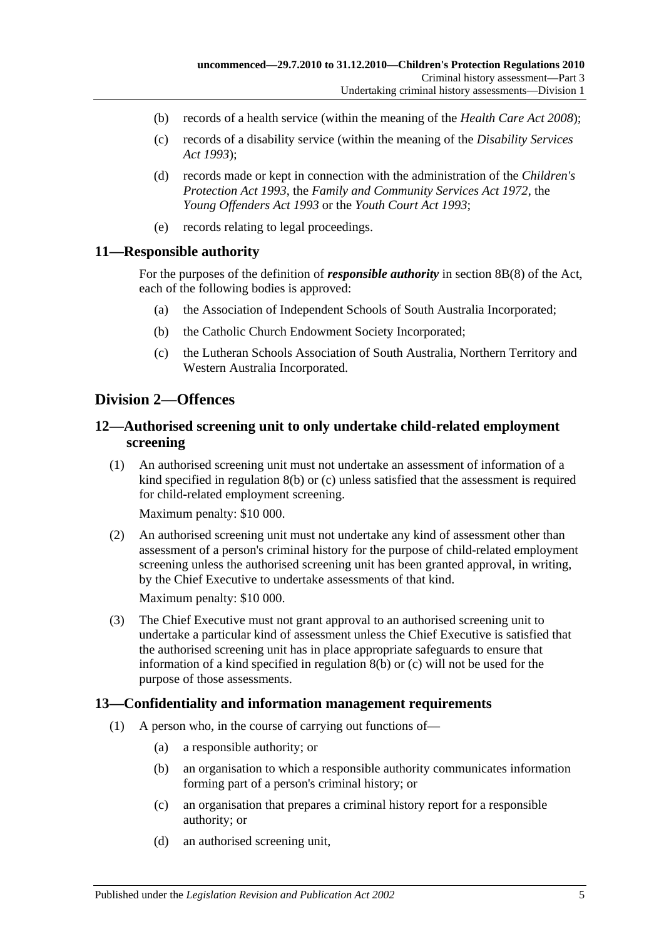- (b) records of a health service (within the meaning of the *[Health Care Act](http://www.legislation.sa.gov.au/index.aspx?action=legref&type=act&legtitle=Health%20Care%20Act%202008) 2008*);
- (c) records of a disability service (within the meaning of the *[Disability Services](http://www.legislation.sa.gov.au/index.aspx?action=legref&type=act&legtitle=Disability%20Services%20Act%201993)  Act [1993](http://www.legislation.sa.gov.au/index.aspx?action=legref&type=act&legtitle=Disability%20Services%20Act%201993)*);
- (d) records made or kept in connection with the administration of the *[Children's](http://www.legislation.sa.gov.au/index.aspx?action=legref&type=act&legtitle=Childrens%20Protection%20Act%201993)  [Protection Act](http://www.legislation.sa.gov.au/index.aspx?action=legref&type=act&legtitle=Childrens%20Protection%20Act%201993) 1993*, the *[Family and Community Services Act](http://www.legislation.sa.gov.au/index.aspx?action=legref&type=act&legtitle=Family%20and%20Community%20Services%20Act%201972) 1972*, the *[Young Offenders Act](http://www.legislation.sa.gov.au/index.aspx?action=legref&type=act&legtitle=Young%20Offenders%20Act%201993) 1993* or the *[Youth Court Act](http://www.legislation.sa.gov.au/index.aspx?action=legref&type=act&legtitle=Youth%20Court%20Act%201993) 1993*;
- (e) records relating to legal proceedings.

#### <span id="page-4-0"></span>**11—Responsible authority**

For the purposes of the definition of *responsible authority* in section 8B(8) of the Act, each of the following bodies is approved:

- (a) the Association of Independent Schools of South Australia Incorporated;
- (b) the Catholic Church Endowment Society Incorporated;
- (c) the Lutheran Schools Association of South Australia, Northern Territory and Western Australia Incorporated.

## <span id="page-4-1"></span>**Division 2—Offences**

### <span id="page-4-2"></span>**12—Authorised screening unit to only undertake child-related employment screening**

(1) An authorised screening unit must not undertake an assessment of information of a kind specified in [regulation](#page-3-7) 8(b) or [\(c\)](#page-3-8) unless satisfied that the assessment is required for child-related employment screening.

Maximum penalty: \$10 000.

(2) An authorised screening unit must not undertake any kind of assessment other than assessment of a person's criminal history for the purpose of child-related employment screening unless the authorised screening unit has been granted approval, in writing, by the Chief Executive to undertake assessments of that kind.

Maximum penalty: \$10 000.

(3) The Chief Executive must not grant approval to an authorised screening unit to undertake a particular kind of assessment unless the Chief Executive is satisfied that the authorised screening unit has in place appropriate safeguards to ensure that information of a kind specified in [regulation](#page-3-7) 8(b) or [\(c\)](#page-3-8) will not be used for the purpose of those assessments.

#### <span id="page-4-3"></span>**13—Confidentiality and information management requirements**

- (1) A person who, in the course of carrying out functions of—
	- (a) a responsible authority; or
	- (b) an organisation to which a responsible authority communicates information forming part of a person's criminal history; or
	- (c) an organisation that prepares a criminal history report for a responsible authority; or
	- (d) an authorised screening unit,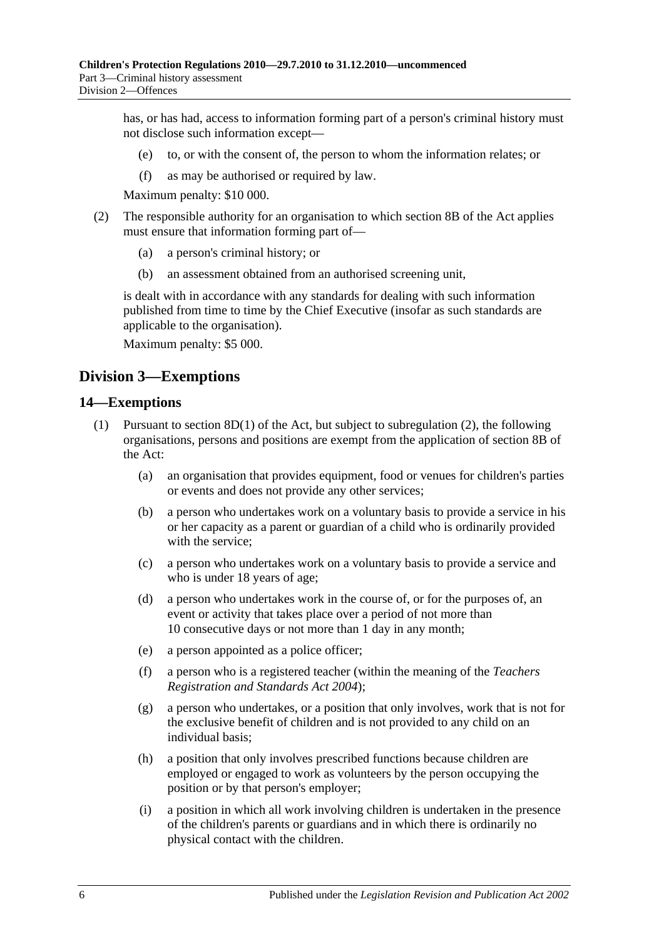has, or has had, access to information forming part of a person's criminal history must not disclose such information except—

- (e) to, or with the consent of, the person to whom the information relates; or
- (f) as may be authorised or required by law.

Maximum penalty: \$10 000.

- (2) The responsible authority for an organisation to which section 8B of the Act applies must ensure that information forming part of—
	- (a) a person's criminal history; or
	- (b) an assessment obtained from an authorised screening unit,

is dealt with in accordance with any standards for dealing with such information published from time to time by the Chief Executive (insofar as such standards are applicable to the organisation).

Maximum penalty: \$5 000.

## <span id="page-5-0"></span>**Division 3—Exemptions**

#### <span id="page-5-2"></span><span id="page-5-1"></span>**14—Exemptions**

- <span id="page-5-4"></span><span id="page-5-3"></span>(1) Pursuant to section 8D(1) of the Act, but subject to [subregulation](#page-6-4) (2), the following organisations, persons and positions are exempt from the application of section 8B of the Act:
	- (a) an organisation that provides equipment, food or venues for children's parties or events and does not provide any other services;
	- (b) a person who undertakes work on a voluntary basis to provide a service in his or her capacity as a parent or guardian of a child who is ordinarily provided with the service:
	- (c) a person who undertakes work on a voluntary basis to provide a service and who is under 18 years of age;
	- (d) a person who undertakes work in the course of, or for the purposes of, an event or activity that takes place over a period of not more than 10 consecutive days or not more than 1 day in any month;
	- (e) a person appointed as a police officer;
	- (f) a person who is a registered teacher (within the meaning of the *[Teachers](http://www.legislation.sa.gov.au/index.aspx?action=legref&type=act&legtitle=Teachers%20Registration%20and%20Standards%20Act%202004)  [Registration and Standards Act](http://www.legislation.sa.gov.au/index.aspx?action=legref&type=act&legtitle=Teachers%20Registration%20and%20Standards%20Act%202004) 2004*);
	- (g) a person who undertakes, or a position that only involves, work that is not for the exclusive benefit of children and is not provided to any child on an individual basis;
	- (h) a position that only involves prescribed functions because children are employed or engaged to work as volunteers by the person occupying the position or by that person's employer;
	- (i) a position in which all work involving children is undertaken in the presence of the children's parents or guardians and in which there is ordinarily no physical contact with the children.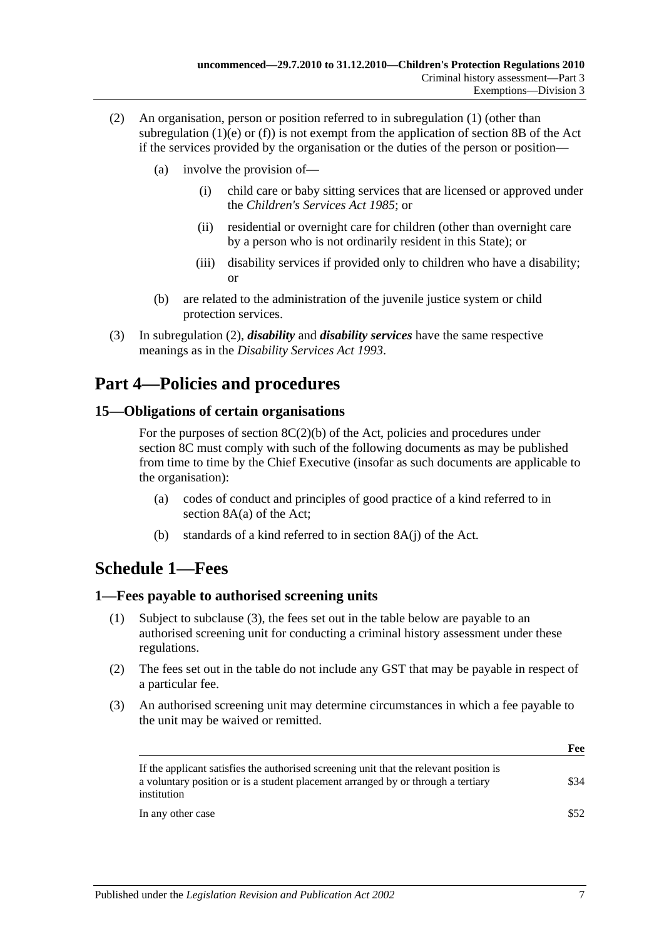- <span id="page-6-4"></span>(2) An organisation, person or position referred to in [subregulation](#page-5-2) (1) (other than [subregulation](#page-5-3)  $(1)(e)$  or  $(f)$ ) is not exempt from the application of section 8B of the Act if the services provided by the organisation or the duties of the person or position—
	- (a) involve the provision of—
		- (i) child care or baby sitting services that are licensed or approved under the *[Children's Services Act](http://www.legislation.sa.gov.au/index.aspx?action=legref&type=act&legtitle=Childrens%20Services%20Act%201985) 1985*; or
		- (ii) residential or overnight care for children (other than overnight care by a person who is not ordinarily resident in this State); or
		- (iii) disability services if provided only to children who have a disability; or
	- (b) are related to the administration of the juvenile justice system or child protection services.
- (3) In [subregulation](#page-6-4) (2), *disability* and *disability services* have the same respective meanings as in the *[Disability Services Act](http://www.legislation.sa.gov.au/index.aspx?action=legref&type=act&legtitle=Disability%20Services%20Act%201993) 1993*.

# <span id="page-6-0"></span>**Part 4—Policies and procedures**

## <span id="page-6-1"></span>**15—Obligations of certain organisations**

For the purposes of section  $8C(2)(b)$  of the Act, policies and procedures under section 8C must comply with such of the following documents as may be published from time to time by the Chief Executive (insofar as such documents are applicable to the organisation):

- (a) codes of conduct and principles of good practice of a kind referred to in section 8A(a) of the Act;
- (b) standards of a kind referred to in section 8A(j) of the Act.

# <span id="page-6-2"></span>**Schedule 1—Fees**

#### <span id="page-6-3"></span>**1—Fees payable to authorised screening units**

- (1) Subject to [subclause](#page-6-5) (3), the fees set out in the table below are payable to an authorised screening unit for conducting a criminal history assessment under these regulations.
- (2) The fees set out in the table do not include any GST that may be payable in respect of a particular fee.
- <span id="page-6-5"></span>(3) An authorised screening unit may determine circumstances in which a fee payable to the unit may be waived or remitted.

|                                                                                                                                                                                           | Fee  |
|-------------------------------------------------------------------------------------------------------------------------------------------------------------------------------------------|------|
| If the applicant satisfies the authorised screening unit that the relevant position is<br>a voluntary position or is a student placement arranged by or through a tertiary<br>institution | \$34 |
| In any other case                                                                                                                                                                         | \$52 |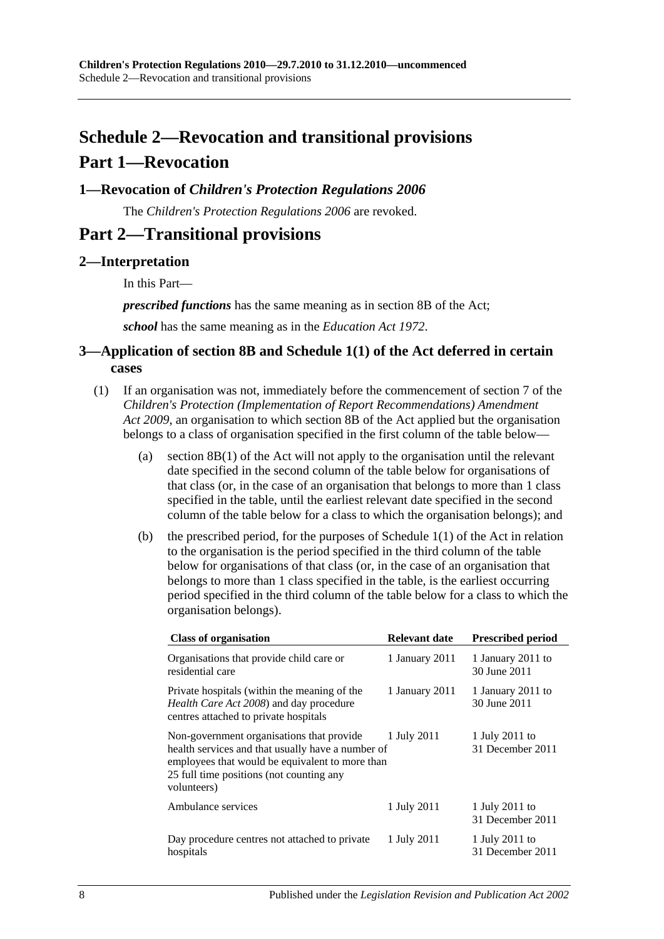# <span id="page-7-0"></span>**Schedule 2—Revocation and transitional provisions Part 1—Revocation**

## <span id="page-7-1"></span>**1—Revocation of** *Children's Protection Regulations 2006*

The *[Children's Protection Regulations](http://www.legislation.sa.gov.au/index.aspx?action=legref&type=subordleg&legtitle=Childrens%20Protection%20Regulations%202006) 2006* are revoked.

# **Part 2—Transitional provisions**

## <span id="page-7-2"></span>**2—Interpretation**

In this Part—

*prescribed functions* has the same meaning as in section 8B of the Act;

*school* has the same meaning as in the *[Education Act](http://www.legislation.sa.gov.au/index.aspx?action=legref&type=act&legtitle=Education%20Act%201972) 1972*.

### <span id="page-7-3"></span>**3—Application of section 8B and Schedule 1(1) of the Act deferred in certain cases**

- <span id="page-7-4"></span>(1) If an organisation was not, immediately before the commencement of section 7 of the *[Children's Protection \(Implementation of Report Recommendations\) Amendment](http://www.legislation.sa.gov.au/index.aspx?action=legref&type=act&legtitle=Childrens%20Protection%20(Implementation%20of%20Report%20Recommendations)%20Amendment%20Act%202009)  Act [2009](http://www.legislation.sa.gov.au/index.aspx?action=legref&type=act&legtitle=Childrens%20Protection%20(Implementation%20of%20Report%20Recommendations)%20Amendment%20Act%202009)*, an organisation to which section 8B of the Act applied but the organisation belongs to a class of organisation specified in the first column of the table below—
	- (a) section 8B(1) of the Act will not apply to the organisation until the relevant date specified in the second column of the table below for organisations of that class (or, in the case of an organisation that belongs to more than 1 class specified in the table, until the earliest relevant date specified in the second column of the table below for a class to which the organisation belongs); and
	- (b) the prescribed period, for the purposes of Schedule 1(1) of the Act in relation to the organisation is the period specified in the third column of the table below for organisations of that class (or, in the case of an organisation that belongs to more than 1 class specified in the table, is the earliest occurring period specified in the third column of the table below for a class to which the organisation belongs).

| <b>Class of organisation</b>                                                                                                                                                                                 | <b>Relevant date</b> | <b>Prescribed period</b>           |
|--------------------------------------------------------------------------------------------------------------------------------------------------------------------------------------------------------------|----------------------|------------------------------------|
| Organisations that provide child care or<br>residential care                                                                                                                                                 | 1 January 2011       | 1 January 2011 to<br>30 June 2011  |
| Private hospitals (within the meaning of the<br>Health Care Act 2008) and day procedure<br>centres attached to private hospitals                                                                             | 1 January 2011       | 1 January 2011 to<br>30 June 2011  |
| Non-government organisations that provide<br>health services and that usually have a number of<br>employees that would be equivalent to more than<br>25 full time positions (not counting any<br>volunteers) | 1 July 2011          | 1 July 2011 to<br>31 December 2011 |
| Ambulance services                                                                                                                                                                                           | 1 July 2011          | 1 July 2011 to<br>31 December 2011 |
| Day procedure centres not attached to private<br>hospitals                                                                                                                                                   | 1 July 2011          | 1 July 2011 to<br>31 December 2011 |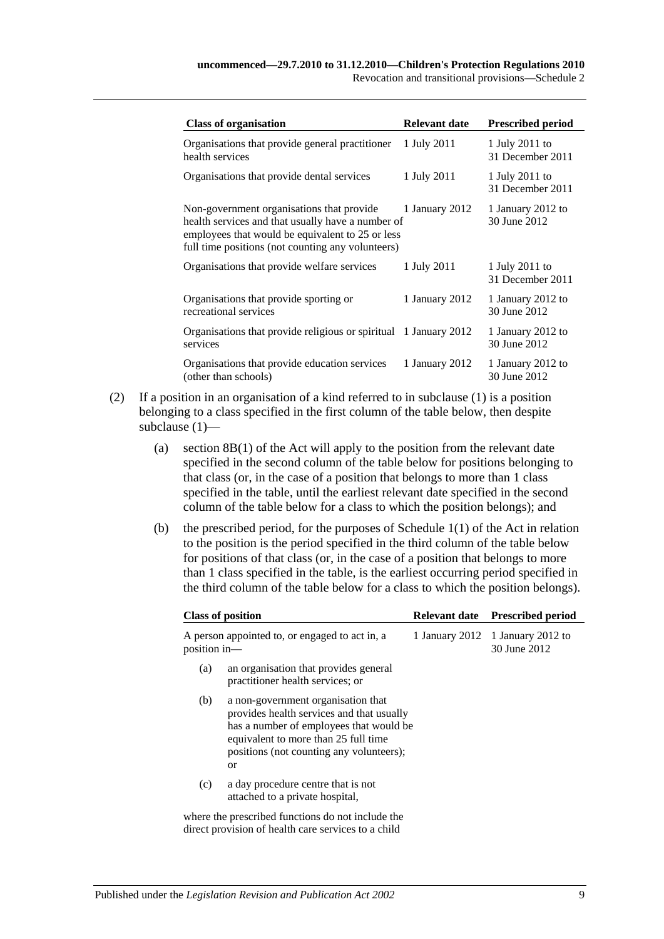| <b>Class of organisation</b>                                                                                                                                                                            | <b>Relevant date</b> | <b>Prescribed period</b>           |
|---------------------------------------------------------------------------------------------------------------------------------------------------------------------------------------------------------|----------------------|------------------------------------|
| Organisations that provide general practitioner<br>health services                                                                                                                                      | 1 July 2011          | 1 July 2011 to<br>31 December 2011 |
| Organisations that provide dental services                                                                                                                                                              | 1 July 2011          | 1 July 2011 to<br>31 December 2011 |
| Non-government organisations that provide<br>health services and that usually have a number of<br>employees that would be equivalent to 25 or less<br>full time positions (not counting any volunteers) | 1 January 2012       | 1 January 2012 to<br>30 June 2012  |
| Organisations that provide welfare services                                                                                                                                                             | 1 July 2011          | 1 July 2011 to<br>31 December 2011 |
| Organisations that provide sporting or<br>recreational services                                                                                                                                         | 1 January 2012       | 1 January 2012 to<br>30 June 2012  |
| Organisations that provide religious or spiritual 1 January 2012<br>services                                                                                                                            |                      | 1 January 2012 to<br>30 June 2012  |
| Organisations that provide education services<br>(other than schools)                                                                                                                                   | 1 January 2012       | 1 January 2012 to<br>30 June 2012  |

- (2) If a position in an organisation of a kind referred to in [subclause](#page-7-4) (1) is a position belonging to a class specified in the first column of the table below, then despite [subclause](#page-7-4) (1)—
	- (a) section 8B(1) of the Act will apply to the position from the relevant date specified in the second column of the table below for positions belonging to that class (or, in the case of a position that belongs to more than 1 class specified in the table, until the earliest relevant date specified in the second column of the table below for a class to which the position belongs); and
	- (b) the prescribed period, for the purposes of Schedule 1(1) of the Act in relation to the position is the period specified in the third column of the table below for positions of that class (or, in the case of a position that belongs to more than 1 class specified in the table, is the earliest occurring period specified in the third column of the table below for a class to which the position belongs).

| <b>Class of position</b>                                                                                                                                                                                                               | <b>Relevant date</b> | <b>Prescribed period</b>                         |
|----------------------------------------------------------------------------------------------------------------------------------------------------------------------------------------------------------------------------------------|----------------------|--------------------------------------------------|
| A person appointed to, or engaged to act in, a<br>position in-                                                                                                                                                                         |                      | 1 January 2012 1 January 2012 to<br>30 June 2012 |
| an organisation that provides general<br>(a)<br>practitioner health services; or                                                                                                                                                       |                      |                                                  |
| (b)<br>a non-government organisation that<br>provides health services and that usually<br>has a number of employees that would be<br>equivalent to more than 25 full time<br>positions (not counting any volunteers);<br><sub>or</sub> |                      |                                                  |
| a day procedure centre that is not<br>(c)<br>attached to a private hospital,                                                                                                                                                           |                      |                                                  |
| where the prescribed functions do not include the<br>direct provision of health care services to a child                                                                                                                               |                      |                                                  |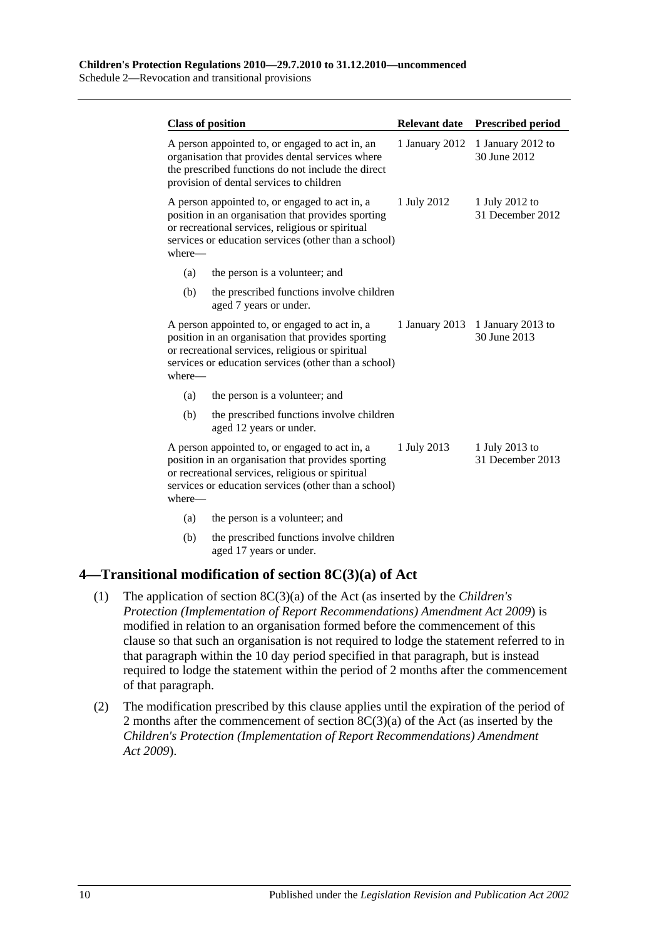Schedule 2—Revocation and transitional provisions

| <b>Class of position</b>                                                                                     |                                                                                                            | <b>Relevant date</b> | <b>Prescribed period</b>           |
|--------------------------------------------------------------------------------------------------------------|------------------------------------------------------------------------------------------------------------|----------------------|------------------------------------|
| A person appointed to, or engaged to act in, an<br>provision of dental services to children                  | organisation that provides dental services where<br>the prescribed functions do not include the direct     | 1 January 2012       | 1 January 2012 to<br>30 June 2012  |
| A person appointed to, or engaged to act in, a<br>or recreational services, religious or spiritual<br>where— | position in an organisation that provides sporting<br>services or education services (other than a school) | 1 July 2012          | 1 July 2012 to<br>31 December 2012 |
| (a)                                                                                                          | the person is a volunteer; and                                                                             |                      |                                    |
| (b)<br>aged 7 years or under.                                                                                | the prescribed functions involve children                                                                  |                      |                                    |
| A person appointed to, or engaged to act in, a<br>or recreational services, religious or spiritual<br>where— | position in an organisation that provides sporting<br>services or education services (other than a school) | 1 January 2013       | 1 January 2013 to<br>30 June 2013  |
| (a)                                                                                                          | the person is a volunteer; and                                                                             |                      |                                    |
| (b)<br>aged 12 years or under.                                                                               | the prescribed functions involve children                                                                  |                      |                                    |
| A person appointed to, or engaged to act in, a<br>or recreational services, religious or spiritual<br>where— | position in an organisation that provides sporting<br>services or education services (other than a school) | 1 July 2013          | 1 July 2013 to<br>31 December 2013 |
| (a)                                                                                                          | the person is a volunteer; and                                                                             |                      |                                    |
| (b)                                                                                                          | the prescribed functions involve children                                                                  |                      |                                    |

aged 17 years or under.

## <span id="page-9-0"></span>**4—Transitional modification of section 8C(3)(a) of Act**

- (1) The application of section 8C(3)(a) of the Act (as inserted by the *[Children's](http://www.legislation.sa.gov.au/index.aspx?action=legref&type=act&legtitle=Childrens%20Protection%20(Implementation%20of%20Report%20Recommendations)%20Amendment%20Act%202009)  [Protection \(Implementation of Report Recommendations\) Amendment Act](http://www.legislation.sa.gov.au/index.aspx?action=legref&type=act&legtitle=Childrens%20Protection%20(Implementation%20of%20Report%20Recommendations)%20Amendment%20Act%202009) 2009*) is modified in relation to an organisation formed before the commencement of this clause so that such an organisation is not required to lodge the statement referred to in that paragraph within the 10 day period specified in that paragraph, but is instead required to lodge the statement within the period of 2 months after the commencement of that paragraph.
- (2) The modification prescribed by this clause applies until the expiration of the period of 2 months after the commencement of section 8C(3)(a) of the Act (as inserted by the *[Children's Protection \(Implementation of Report Recommendations\) Amendment](http://www.legislation.sa.gov.au/index.aspx?action=legref&type=act&legtitle=Childrens%20Protection%20(Implementation%20of%20Report%20Recommendations)%20Amendment%20Act%202009)  Act [2009](http://www.legislation.sa.gov.au/index.aspx?action=legref&type=act&legtitle=Childrens%20Protection%20(Implementation%20of%20Report%20Recommendations)%20Amendment%20Act%202009)*).